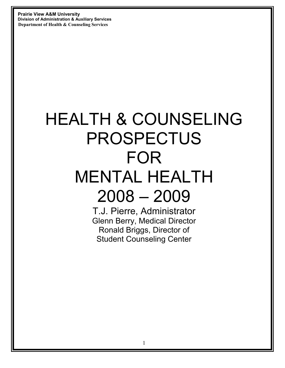# HEALTH & COUNSELING PROSPECTUS FOR MENTAL HEALTH 2008 – 2009

T.J. Pierre, Administrator Glenn Berry, Medical Director Ronald Briggs, Director of Student Counseling Center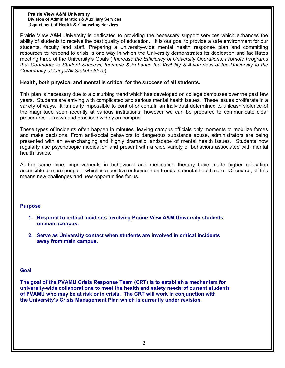Prairie View A&M University is dedicated to providing the necessary support services which enhances the ability of students to receive the best quality of education. It is our goal to provide a safe environment for our students, faculty and staff. Preparing a university-wide mental health response plan and committing resources to respond to crisis is one way in which the University demonstrates its dedication and facilitates meeting three of the University's Goals ( *Increase the Efficiency of University Operations; Promote Programs that Contribute to Student Success; Increase & Enhance the Visibility & Awareness of the University to the Community at Large/All Stakeholders*).

# **Health, both physical and mental is critical for the success of all students.**

This plan is necessary due to a disturbing trend which has developed on college campuses over the past few years. Students are arriving with complicated and serious mental health issues. These issues proliferate in a variety of ways. It is nearly impossible to control or contain an individual determined to unleash violence of the magnitude seen recently at various institutions, however we can be prepared to communicate clear procedures – known and practiced widely on campus.

These types of incidents often happen in minutes, leaving campus officials only moments to mobilize forces and make decisions. From anti-social behaviors to dangerous substance abuse, administrators are being presented with an ever-changing and highly dramatic landscape of mental health issues. Students now regularly use psychotropic medication and present with a wide variety of behaviors associated with mental health issues.

At the same time, improvements in behavioral and medication therapy have made higher education accessible to more people – which is a positive outcome from trends in mental health care. Of course, all this means new challenges and new opportunities for us.

#### **Purpose**

- **1. Respond to critical incidents involving Prairie View A&M University students on main campus.**
- **2. Serve as University contact when students are involved in critical incidents away from main campus.**

#### **Goal**

**The goal of the PVAMU Crisis Response Team (CRT) is to establish a mechanism for university-wide collaborations to meet the health and safety needs of current students of PVAMU who may be at risk or in crisis. The CRT will work in conjunction with the University's Crisis Management Plan which is currently under revision.**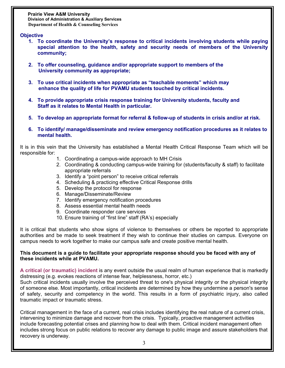# **Objective**

- **1. To coordinate the University's response to critical incidents involving students while paying special attention to the health, safety and security needs of members of the University community;**
- **2. To offer counseling, guidance and/or appropriate support to members of the University community as appropriate;**
- **3. To use critical incidents when appropriate as "teachable moments" which may enhance the quality of life for PVAMU students touched by critical incidents.**
- **4. To provide appropriate crisis response training for University students, faculty and Staff as it relates to Mental Health in particular.**
- **5. To develop an appropriate format for referral & follow-up of students in crisis and/or at risk.**
- **6. To identify/ manage/disseminate and review emergency notification procedures as it relates to mental health.**

It is in this vein that the University has established a Mental Health Critical Response Team which will be responsible for:

- 1. Coordinating a campus-wide approach to MH Crisis
- 2. Coordinating & conducting campus-wide training for (students/faculty & staff) to facilitate appropriate referrals
- 3. Identify a "point person" to receive critical referrals
- 4. Scheduling & practicing effective Critical Response drills
- 5. Develop the protocol for response
- 6. Manage/Disseminate/Review
- 7. Identify emergency notification procedures
- 8. Assess essential mental health needs
- 9. Coordinate responder care services
- 10. Ensure training of "first line" staff (RA's) especially

It is critical that students who show signs of violence to themselves or others be reported to appropriate authorities and be made to seek treatment if they wish to continue their studies on campus. Everyone on campus needs to work together to make our campus safe and create positive mental health.

#### **This document is a guide to facilitate your appropriate response should you be faced with any of these incidents while at PVAMU.**

**A critical (or traumatic) incident** is any event outside the usual realm of human experience that is markedly distressing (e.g. evokes reactions of intense fear, helplessness, horror, etc.)

Such critical incidents usually involve the perceived threat to one's physical integrity or the physical integrity of someone else. Most importantly, critical incidents are determined by how they undermine a person's sense of safety, security and competency in the world. This results in a form of psychiatric injury, also called traumatic impact or traumatic stress.

Critical management in the face of a current, real crisis includes identifying the real nature of a current crisis, intervening to minimize damage and recover from the crisis. Typically, proactive management activities include forecasting potential crises and planning how to deal with them. Critical incident management often includes strong focus on public relations to recover any damage to public image and assure stakeholders that recovery is underway.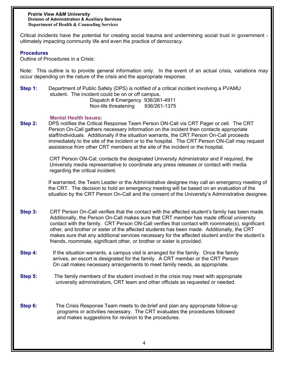Critical incidents have the potential for creating social trauma and undermining social trust in government ultimately impacting community life and even the practice of democracy.

# **Procedures**

Outline of Procedures in a Crisis:

Note: This outline is to provide general information only. In the event of an actual crisis, variations may occur depending on the nature of the crisis and the appropriate response.

**Step 1:** Department of Public Safety (DPS) is notified of a critical incident involving a PVAMU student. The incident could be on or off campus.

 Dispatch # Emergency 936/261-4911 Non-life threatening 936/261-1375

#### **Mental Health Issues:**

**Step 2:** DPS notifies the Critical Response Team Person ON-Call via CRT Pager or cell. The CRT Person On-Call gathers necessary information on the incident then contacts appropriate staff/individuals. Additionally if the situation warrants, the CRT Person On-Call proceeds immediately to the site of the incident or to the hospital. The CRT Person ON-Call may request assistance from other CRT members at the site of the incident or the hospital.

> CRT Person ON-Cal; contacts the designated University Administrator and if required, the University media representative to coordinate any press releases or contact with media regarding the critical incident.

If warranted, the Team Leader or the Administrative designee may call an emergency meeting of the CRT. The decision to hold an emergency meeting will be based on an evaluation of the situation by the CRT Person On-Call and the consent of the University's Administrative designee.

- **Step 3:** CRT Person On-Call verifies that the contact with the affected student's family has been made. Additionally, the Person On-Call makes sure that CRT member has made official university contact with the family. CRT Person ON-Call verifies that contact with roommate(s), significant other, and brother or sister of the affected students has been made. Additionally, the CRT makes sure that any additional services necessary for the affected student and/or the student's friends, roommate, significant other, or brother or sister is provided.
- **Step 4:** If the situation warrants, a campus visit is arranged for the family. Once the family arrives, an escort is designated for the family. A CRT member or the CRT Person On call makes necessary arrangements to meet family needs, as appropriate.
- **Step 5:** The family members of the student involved in the crisis may meet with appropriate university administrators, CRT team and other officials as requested or needed.
- **Step 6:** The Crisis Response Team meets to de-brief and plan any appropriate follow-up programs or activities necessary. The CRT evaluates the procedures followed and makes suggestions for revision to the procedures.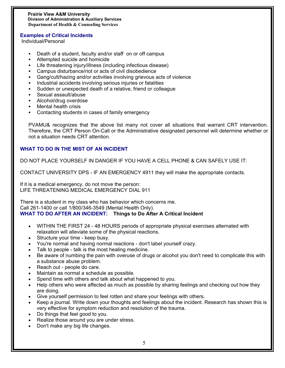# **Examples of Critical Incidents**

Individual/Personal

- ! Death of a student, faculty and/or staff on or off campus
- ! Attempted suicide and homicide
- ! Life threatening injury/illness (including infectious disease)
- ! Campus disturbance/riot or acts of civil disobedience
- ! Gang/cult/hazing and/or activities involving grievous acts of violence
- ! Industrial accidents involving serious injuries or fatalities
- ! Sudden or unexpected death of a relative, friend or colleague
- ! Sexual assault/abuse
- ! Alcohol/drug overdose
- ! Mental health crisis
- ! Contacting students in cases of family emergency

PVAMU& recognizes that the above list many not cover all situations that warrant CRT intervention. Therefore, the CRT Person On-Call or the Administrative designated personnel will determine whether or not a situation needs CRT attention.

# **WHAT TO DO IN THE MIST OF AN INCIDENT**

DO NOT PLACE YOURSELF IN DANGER IF YOU HAVE A CELL PHONE & CAN SAFELY USE IT:

CONTACT UNIVERSITY DPS - IF AN EMERGENCY 4911 they will make the appropriate contacts.

If it is a medical emergency, do not move the person: LIFE THREATENING MEDICAL EMERGENCY DIAL 911

There is a student in my class who has behavior which concerns me. Call 261-1400 or call 1/800/346-3549 (Mental Health Only). **WHAT TO DO AFTER AN INCIDENT: Things to Do After A Critical Incident** 

- WITHIN THE FIRST 24 48 HOURS periods of appropriate physical exercises alternated with relaxation will alleviate some of the physical reactions.
- Structure your time keep busy.
- ! You're normal and having normal reactions don't label yourself crazy.
- Talk to people talk is the most healing medicine.
- Be aware of numbing the pain with overuse of drugs or alcohol you don't need to complicate this with a substance abuse problem.
- Reach out people do care.
- ! Maintain as normal a schedule as possible.
- Spend time with others and talk about what happened to you.
- Help others who were affected as much as possible by sharing feelings and checking out how they are doing.
- ! Give yourself permission to feel rotten and share your feelings with others.
- ! Keep a journal. Write down your thoughts and feelings about the incident. Research has shown this is very effective for symptom reduction and resolution of the trauma.
- Do things that feel good to you.
- Realize those around you are under stress.
- Don't make any big life changes.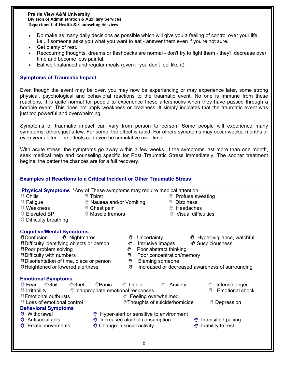- Do make as many daily decisions as possible which will give you a feeling of control over your life, i.e., if someone asks you what you want to eat - answer them even if you're not sure.
- Get plenty of rest.
- ! Reoccurring thoughts, dreams or flashbacks are normal don't try to fight them they'll decrease over time and become less painful.
- Eat well-balanced and regular meals (even if you don't feel like it).

# **Symptoms of Traumatic Impact**

Even though the event may be over, you may now be experiencing or may experience later, some strong physical, psychological and behavioral reactions to the traumatic event. No one is immune from these reactions. It is quite normal for people to experience these aftershocks when they have passed through a horrible event. This does not imply weakness or craziness. It simply indicates that the traumatic event was just too powerful and overwhelming.

Symptoms of traumatic impact can vary from person to person. Some people will experience many symptoms, others just a few. For some, the effect is rapid. For others symptoms may occur weeks, months or even years later. The effects can even be cumulative over time.

With acute stress, the symptoms go away within a few weeks. If the symptoms last more than one month, seek medical help and counseling specific for Post Traumatic Stress immediately. The sooner treatment begins; the better the chances are for a full recovery.

# **Examples of Reactions to a Critical Incident or Other Traumatic Stress: Physical Symptoms** \*Any of These symptoms may require medical attention. ! Chills ! Thirst ! Profuse sweating If Nausea and/or Vomiting Solution & Dizziness ! Weakness ! Chest pain ! Headaches ঁ Elevated BP  $\mathbb{S}^n$  Muscle tremors  $\mathbb{S}^n$  Visual difficulties <sup>◎</sup> Difficulty breathing **Cognitive/Mental Symptoms** !Confusion ! Nightmares ! Uncertainty !Hyper-vigilance, watchful Intrusive images . Suspiciousness . Intrusive images Suspiciousness . Intrusive images . The Suspiciousness ্ষ্টPoor problem solving in a settle set and set and set and set and set and set and set and set and set and s ("Difficulty with numbers ("Difficulty with numbers") Poor concentration/memory<br>
"Disorientation of time, place or person ("Disorientation of time, place or person") **\"Disorientation of time, place or person** !Heightened or lowered alertness !Increased or decreased awareness of surrounding **Emotional Symptoms** ै Fear ॑©Guilt ৺Grief ৺Panic ৺ Denial ৺ Anxiety ৺ Intense anger *শ*াrritability **exercity inappropriate emotional responses example and the struck of the struck** Emotional shock <sup>\*</sup> Emotional outbursts **Access 1998** Eeeling overwhelmed ैं Loss of emotional control **exercise in Alta extra extints** of suicide/homicide i Depression **Behavioral Symptoms <sup>\*\*</sup>** Withdrawal \*\*\* Hyper-alert or sensitive to environment . Antisocial acts . We increased alcohol consumption . Antisocial acts intensified pacing **\*** Erratic movements \* \* \* Change in social activity \* \* \* \* \* \* Inability to rest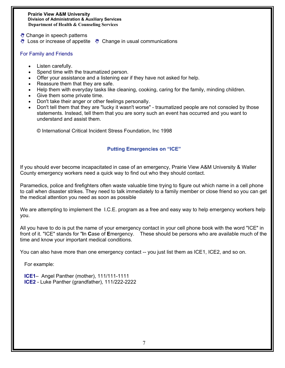- **<sup>₩</sup>** Change in speech patterns
- **<sup>●</sup>** Loss or increase of appetite Change in usual communications

#### For Family and Friends

- Listen carefully.
- Spend time with the traumatized person.
- Offer your assistance and a listening ear if they have not asked for help.
- Reassure them that they are safe.
- Help them with everyday tasks like cleaning, cooking, caring for the family, minding children.
- Give them some private time.
- ! Don't take their anger or other feelings personally.
- ! Don't tell them that they are "lucky it wasn't worse" traumatized people are not consoled by those statements. Instead, tell them that you are sorry such an event has occurred and you want to understand and assist them.

© International Critical Incident Stress Foundation, Inc 1998

# **Putting Emergencies on "ICE"**

If you should ever become incapacitated in case of an emergency, Prairie View A&M University & Waller County emergency workers need a quick way to find out who they should contact.

Paramedics, police and firefighters often waste valuable time trying to figure out which name in a cell phone to call when disaster strikes. They need to talk immediately to a family member or close friend so you can get the medical attention you need as soon as possible

We are attempting to implement the I.C.E. program as a free and easy way to help emergency workers help you.

All you have to do is put the name of your emergency contact in your cell phone book with the word "ICE" in front of it. "ICE" stands for "**I**n **C**ase of **E**mergency. These should be persons who are available much of the time and know your important medical conditions.

You can also have more than one emergency contact -- you just list them as ICE1, ICE2, and so on.

For example:

 **ICE1**– Angel Panther (mother), 111/111-1111 **ICE2** - Luke Panther (grandfather), 111/222-2222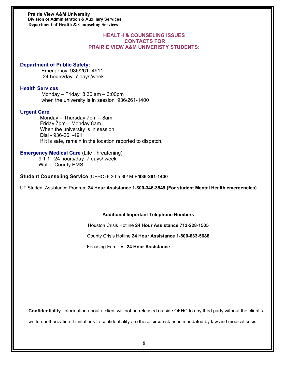#### **HEALTH & COUNSELING ISSUES CONTACTS FOR PRAIRIE VIEW A&M UNIVERISTY STUDENTS:**

#### **Department of Public Safety:**

 Emergency 936/261 -4911 24 hours/day 7 days/week

#### **Health Services**

 Monday – Friday 8:30 am – 6:00pm when the university is in session 936/261-1400

#### **Urgent Care**

 Monday – Thursday 7pm – 8am Friday 7pm – Monday 8am When the university is in session Dial - 936-261-4911 If it is safe, remain in the location reported to dispatch.

#### **Emergency Medical Care** (Life Threatening)

 9 1 1 24 hours/day 7 days/ week Waller County EMS.

**Student Counseling Service** (OFHC) 9:30-5:30/ M-F/**936-261-1400** 

UT Student Assistance Program **24 Hour Assistance 1-800-346-3549 (For student Mental Health emergencies)** 

#### **Additional Important Telephone Numbers**

Houston Crisis Hotline **24 Hour Assistance 713-228-1505** 

County Crisis Hotline **24 Hour Assistance 1-800-633-5686** 

Focusing Families **24 Hour Assistance** 

**Confidentiality**: Information about a client will not be released outside OFHC to any third party without the client's written authorization. Limitations to confidentiality are those circumstances mandated by law and medical crisis.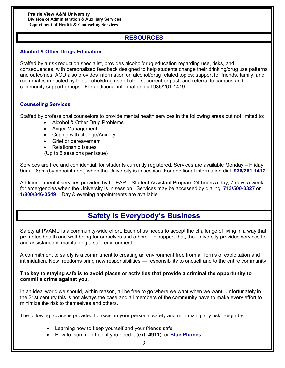# **RESOURCES**

# **Alcohol & Other Drugs Education**

Staffed by a risk reduction specialist, provides alcohol/drug education regarding use, risks, and consequences, with personalized feedback designed to help students change their drinking/drug use patterns and outcomes. AOD also provides information on alcohol/drug related topics; support for friends, family, and roommates impacted by the alcohol/drug use of others, current or past; and referral to campus and community support groups. For additional information dial 936/261-1419.

# **Counseling Services**

Staffed by professional counselors to provide mental health services in the following areas but not limited to:

- Alcohol & Other Drug Problems
- Anger Management
- Coping with change/Anxiety
- Grief or bereavement
- Relationship Issues
- (Up to 5 sessions per issue)

Services are free and confidential, for students currently registered. Services are available Monday – Friday 9am – 6pm (by appointment) when the University is in session. For additional information dial **936/261-1417**.

Additional mental services provided by UTEAP – Student Assistant Program 24 hours a day, 7 days a week for emergencies when the University is in session. Services may be accessed by dialing **713/500-3327** or **1/800/346-3549**. Day & evening appointments are available.

# **Safety is Everybody's Business**

Safety at PVAMU is a community-wide effort. Each of us needs to accept the challenge of living in a way that promotes health and well-being for ourselves and others. To support that, the University provides services for and assistance in maintaining a safe environment.

A commitment to safety is a commitment to creating an environment free from all forms of exploitation and intimidation. New freedoms bring new responsibilities — responsibility to oneself and to the entire community.

# **The key to staying safe is to avoid places or activities that provide a criminal the opportunity to commit a crime against you.**

In an ideal world we should, within reason, all be free to go where we want when we want. Unfortunately in the 21st century this is not always the case and all members of the community have to make every effort to minimize the risk to themselves and others.

The following advice is provided to assist in your personal safety and minimizing any risk. Begin by:

- Learning how to keep yourself and your friends safe,
- ! How to summon help if you need it (**ext. 4911**) or **Blue Phones**,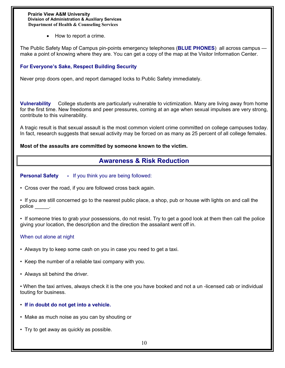• How to report a crime.

The Public Safety Map of Campus pin-points emergency telephones (**BLUE PHONES**) all across campus make a point of knowing where they are. You can get a copy of the map at the Visitor Information Center.

# **For Everyone's Sake, Respect Building Security**

Never prop doors open, and report damaged locks to Public Safety immediately.

**Vulnerability** College students are particularly vulnerable to victimization. Many are living away from home for the first time. New freedoms and peer pressures, coming at an age when sexual impulses are very strong, contribute to this vulnerability.

A tragic result is that sexual assault is the most common violent crime committed on college campuses today. In fact, research suggests that sexual activity may be forced on as many as 25 percent of all college females.

#### **Most of the assaults are committed by someone known to the victim.**

# **Awareness & Risk Reduction**

**Personal Safety** - If you think you are being followed:

• Cross over the road, if you are followed cross back again.

• If you are still concerned go to the nearest public place, a shop, pub or house with lights on and call the police \_\_\_\_\_\_.

• If someone tries to grab your possessions, do not resist. Try to get a good look at them then call the police giving your location, the description and the direction the assailant went off in.

# When out alone at night

- Always try to keep some cash on you in case you need to get a taxi.
- Keep the number of a reliable taxi company with you.
- Always sit behind the driver.

• When the taxi arrives, always check it is the one you have booked and not a un -licensed cab or individual touting for business.

- **If in doubt do not get into a vehicle.**
- Make as much noise as you can by shouting or
- Try to get away as quickly as possible.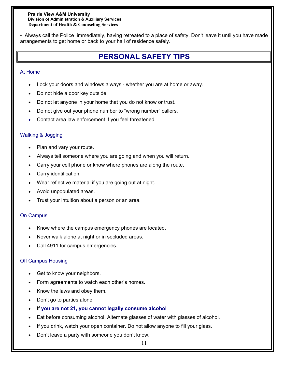• Always call the Police immediately, having retreated to a place of safety. Don't leave it until you have made arrangements to get home or back to your hall of residence safely.

# **PERSONAL SAFETY TIPS**

# At Home

- Lock your doors and windows always whether you are at home or away.
- Do not hide a door key outside.
- Do not let anyone in your home that you do not know or trust.
- Do not give out your phone number to "wrong number" callers.
- Contact area law enforcement if you feel threatened

# Walking & Jogging

- Plan and vary your route.
- Always tell someone where you are going and when you will return.
- Carry your cell phone or know where phones are along the route.
- Carry identification.
- . Wear reflective material if you are going out at night.
- Avoid unpopulated areas.
- Trust your intuition about a person or an area.

# On Campus

- Know where the campus emergency phones are located.
- Never walk alone at night or in secluded areas.
- Call 4911 for campus emergencies.

# Off Campus Housing

- Get to know your neighbors.
- Form agreements to watch each other's homes.
- Know the laws and obey them.
- Don't go to parties alone.
- ! If **you are not 21, you cannot legally consume alcohol**
- Eat before consuming alcohol. Alternate glasses of water with glasses of alcohol.
- ! If you drink, watch your open container. Do not allow anyone to fill your glass.
- Don't leave a party with someone you don't know.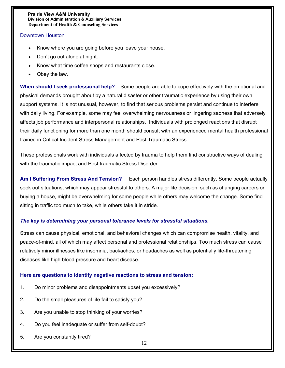# Downtown Houston

- Know where you are going before you leave your house.
- Don't go out alone at night.
- Know what time coffee shops and restaurants close.
- Obey the law.

**When should I seek professional help?** Some people are able to cope effectively with the emotional and physical demands brought about by a natural disaster or other traumatic experience by using their own support systems. It is not unusual, however, to find that serious problems persist and continue to interfere with daily living. For example, some may feel overwhelming nervousness or lingering sadness that adversely affects job performance and interpersonal relationships. Individuals with prolonged reactions that disrupt their daily functioning for more than one month should consult with an experienced mental health professional trained in Critical Incident Stress Management and Post Traumatic Stress.

These professionals work with individuals affected by trauma to help them find constructive ways of dealing with the traumatic impact and Post traumatic Stress Disorder.

**Am I Suffering From Stress And Tension?** Each person handles stress differently. Some people actually seek out situations, which may appear stressful to others. A major life decision, such as changing careers or buying a house, might be overwhelming for some people while others may welcome the change. Some find sitting in traffic too much to take, while others take it in stride.

# *The key is determining your personal tolerance levels for stressful situations.*

Stress can cause physical, emotional, and behavioral changes which can compromise health, vitality, and peace-of-mind, all of which may affect personal and professional relationships. Too much stress can cause relatively minor illnesses like insomnia, backaches, or headaches as well as potentially life-threatening diseases like high blood pressure and heart disease.

#### **Here are questions to identify negative reactions to stress and tension:**

- 1. Do minor problems and disappointments upset you excessively?
- 2. Do the small pleasures of life fail to satisfy you?
- 3. Are you unable to stop thinking of your worries?
- 4. Do you feel inadequate or suffer from self-doubt?
- 5. Are you constantly tired?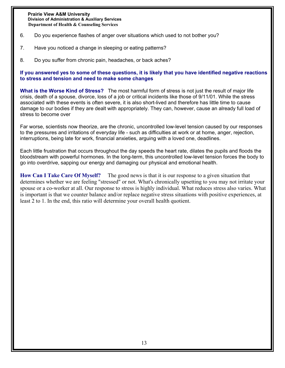- 6. Do you experience flashes of anger over situations which used to not bother you?
- 7. Have you noticed a change in sleeping or eating patterns?
- 8. Do you suffer from chronic pain, headaches, or back aches?

# **If you answered yes to some of these questions, it is likely that you have identified negative reactions to stress and tension and need to make some changes**

**What is the Worse Kind of Stress?** The most harmful form of stress is not just the result of major life crisis, death of a spouse, divorce, loss of a job or critical incidents like those of 9/11/01. While the stress associated with these events is often severe, it is also short-lived and therefore has little time to cause damage to our bodies if they are dealt with appropriately. They can, however, cause an already full load of stress to become over

Far worse, scientists now theorize, are the chronic, uncontrolled low-level tension caused by our responses to the pressures and irritations of everyday life - such as difficulties at work or at home, anger, rejection, interruptions, being late for work, financial anxieties, arguing with a loved one, deadlines.

Each little frustration that occurs throughout the day speeds the heart rate, dilates the pupils and floods the bloodstream with powerful hormones. In the long-term, this uncontrolled low-level tension forces the body to go into overdrive, sapping our energy and damaging our physical and emotional health.

How Can I Take Care Of Myself? The good news is that it is our response to a given situation that determines whether we are feeling "stressed" or not. What's chronically upsetting to you may not irritate your spouse or a co-worker at all. Our response to stress is highly individual. What reduces stress also varies. What is important is that we counter balance and/or replace negative stress situations with positive experiences, at least 2 to 1. In the end, this ratio will determine your overall health quotient.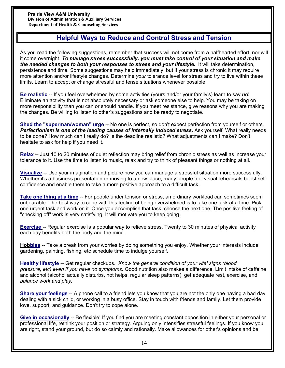# **H**H**elpful Ways to Reduce and Control Stress and Tension**

As you read the following suggestions, remember that success will not come from a halfhearted effort, nor will it come overnight. *To manage stress successfully, you must take control of your situation and make the needed changes to both your responses to stress and your lifestyle.* It will take determination, persistence and time. Some suggestions may help immediately, but if your stress is chronic it may require more attention and/or lifestyle changes. Determine *your* tolerance level for stress and try to live within these limits. Learn to accept or change stressful and tense situations whenever possible.

**Be realistic** -- If you feel overwhelmed by some activities (yours and/or your family's) learn to say *no***!** Eliminate an activity that is not absolutely necessary or ask someone else to help. You may be taking on more responsibility than you can or should handle. If you meet resistance, give reasons why you are making the changes. Be willing to listen to other's suggestions and be ready to negotiate.

**Shed the "superman/woman" urge** -- No one is perfect, so don't expect perfection from yourself or others. *Perfectionism is one of the leading causes of internally induced stress.* Ask yourself: What really needs to be done? How much can I really do? Is the deadline realistic? What adjustments can I make? Don't hesitate to ask for help if you need it.

**Relax** -- Just 10 to 20 minutes of quiet reflection may bring relief from chronic stress as well as increase your tolerance to it. Use the time to listen to music, relax and try to think of pleasant things or nothing at all.

**Visualize** -- Use your imagination and picture how you can manage a stressful situation more successfully. Whether it's a business presentation or moving to a new place, many people feel visual rehearsals boost selfconfidence and enable them to take a more positive approach to a difficult task.

**Take one thing at a time** -- For people under tension or stress, an ordinary workload can sometimes seem unbearable. The best way to cope with this feeling of being overwhelmed is to take one task at a time. Pick one urgent task and work on it. Once you accomplish that task, choose the next one. The positive feeling of "checking off" work is very satisfying. It will motivate you to keep going.

**Exercise** -- Regular exercise is a popular way to relieve stress. Twenty to 30 minutes of physical activity each day benefits both the body and the mind.

**Hobbies** -- Take a break from your worries by doing something you enjoy. Whether your interests include gardening, painting, fishing, etc schedule time to indulge yourself.

**Healthy lifestyle** -- Get regular checkups. *Know the general condition of your vital signs (blood pressure, etc) even if you have no symptoms*. Good nutrition also makes a difference. Limit intake of caffeine and alcohol (alcohol actually disturbs, not helps, regular sleep patterns), get adequate rest, exercise, and *balance work and play.* 

**Share your feelings** -- A phone call to a friend lets you know that you are not the only one having a bad day, dealing with a sick child, or working in a busy office. Stay in touch with friends and family. Let them provide love, support, and guidance. Don't try to cope alone.

**Give in occasionally** -- Be flexible! If you find you are meeting constant opposition in either your personal or professional life, rethink your position or strategy. Arguing only intensifies stressful feelings. If you know you are right, stand your ground, but do so calmly and rationally. Make allowances for other's opinions and be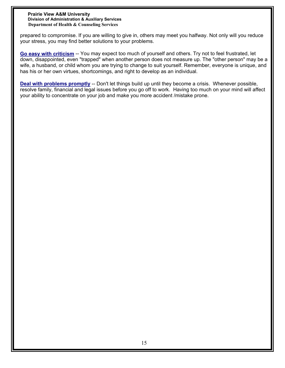prepared to compromise. If you are willing to give in, others may meet you halfway. Not only will you reduce your stress, you may find better solutions to your problems.

**Go easy with criticism** -- You may expect too much of yourself and others. Try not to feel frustrated, let down, disappointed, even "trapped" when another person does not measure up. The "other person" may be a wife, a husband, or child whom you are trying to change to suit yourself. Remember, everyone is unique, and has his or her own virtues, shortcomings, and right to develop as an individual.

**Deal with problems promptly** -- Don't let things build up until they become a crisis. Whenever possible, resolve family, financial and legal issues before you go off to work. Having too much on your mind will affect your ability to concentrate on your job and make you more accident /mistake prone.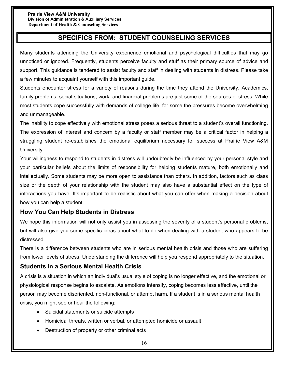# **SPECIFICS FROM: STUDENT COUNSELING SERVICES**

Many students attending the University experience emotional and psychological difficulties that may go unnoticed or ignored. Frequently, students perceive faculty and stuff as their primary source of advice and support. This guidance is tendered to assist faculty and staff in dealing with students in distress. Please take a few minutes to acquaint yourself with this important guide.

Students encounter stress for a variety of reasons during the time they attend the University. Academics, family problems, social situations, work, and financial problems are just some of the sources of stress. While most students cope successfully with demands of college life, for some the pressures become overwhelming and unmanageable.

The inability to cope effectively with emotional stress poses a serious threat to a student's overall functioning. The expression of interest and concern by a faculty or staff member may be a critical factor in helping a struggling student re-establishes the emotional equilibrium necessary for success at Prairie View A&M University.

Your willingness to respond to students in distress will undoubtedly be influenced by your personal style and your particular beliefs about the limits of responsibility for helping students mature, both emotionally and intellectually. Some students may be more open to assistance than others. In addition, factors such as class size or the depth of your relationship with the student may also have a substantial effect on the type of interactions you have. It's important to be realistic about what you can offer when making a decision about how you can help a student.

# **How You Can Help Students in Distress**

We hope this information will not only assist you in assessing the severity of a student's personal problems, but will also give you some specific ideas about what to do when dealing with a student who appears to be distressed.

There is a difference between students who are in serious mental health crisis and those who are suffering from lower levels of stress. Understanding the difference will help you respond appropriately to the situation.

# **Students in a Serious Mental Health Crisis**

A crisis is a situation in which an individual's usual style of coping is no longer effective, and the emotional or physiological response begins to escalate. As emotions intensify, coping becomes less effective, until the person may become disoriented, non-functional, or attempt harm. If a student is in a serious mental health crisis, you might see or hear the following:

- Suicidal statements or suicide attempts
- ! Homicidal threats, written or verbal, or attempted homicide or assault
- Destruction of property or other criminal acts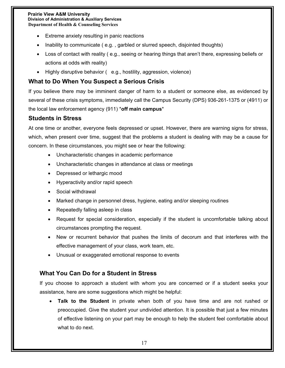- Extreme anxiety resulting in panic reactions
- Inability to communicate ( e.g. , garbled or slurred speech, disjointed thoughts)
- Loss of contact with reality (e.g., seeing or hearing things that aren't there, expressing beliefs or actions at odds with reality)
- Highly disruptive behavior ( e.g., hostility, aggression, violence)

# **What to Do When You Suspect a Serious Crisis**

If you believe there may be imminent danger of harm to a student or someone else, as evidenced by several of these crisis symptoms, immediately call the Campus Security (DPS) 936-261-1375 or (4911) or the local law enforcement agency (911) \***off main campus**\*

# **Students in Stress**

At one time or another, everyone feels depressed or upset. However, there are warning signs for stress, which, when present over time, suggest that the problems a student is dealing with may be a cause for concern. In these circumstances, you might see or hear the following:

- Uncharacteristic changes in academic performance
- Uncharacteristic changes in attendance at class or meetings
- Depressed or lethargic mood
- Hyperactivity and/or rapid speech
- Social withdrawal
- ! Marked change in personnel dress, hygiene, eating and/or sleeping routines
- Repeatedly falling asleep in class
- ! Request for special consideration, especially if the student is uncomfortable talking about circumstances prompting the request.
- New or recurrent behavior that pushes the limits of decorum and that interferes with the effective management of your class, work team, etc.
- Unusual or exaggerated emotional response to events

# **What You Can Do for a Student in Stress**

If you choose to approach a student with whom you are concerned or if a student seeks your assistance, here are some suggestions which might be helpful:

! **Talk to the Student** in private when both of you have time and are not rushed or preoccupied. Give the student your undivided attention. It is possible that just a few minutes of effective listening on your part may be enough to help the student feel comfortable about what to do next.